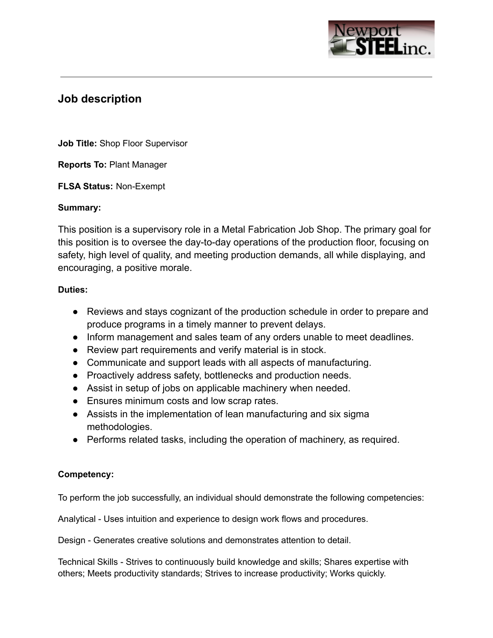

# **Job description**

**Job Title:** Shop Floor Supervisor

**Reports To:** Plant Manager

**FLSA Status:** Non-Exempt

### **Summary:**

This position is a supervisory role in a Metal Fabrication Job Shop. The primary goal for this position is to oversee the day-to-day operations of the production floor, focusing on safety, high level of quality, and meeting production demands, all while displaying, and encouraging, a positive morale.

### **Duties:**

- Reviews and stays cognizant of the production schedule in order to prepare and produce programs in a timely manner to prevent delays.
- Inform management and sales team of any orders unable to meet deadlines.
- Review part requirements and verify material is in stock.
- Communicate and support leads with all aspects of manufacturing.
- Proactively address safety, bottlenecks and production needs.
- Assist in setup of jobs on applicable machinery when needed.
- Ensures minimum costs and low scrap rates.
- Assists in the implementation of lean manufacturing and six sigma methodologies.
- Performs related tasks, including the operation of machinery, as required.

# **Competency:**

To perform the job successfully, an individual should demonstrate the following competencies:

Analytical - Uses intuition and experience to design work flows and procedures.

Design - Generates creative solutions and demonstrates attention to detail.

Technical Skills - Strives to continuously build knowledge and skills; Shares expertise with others; Meets productivity standards; Strives to increase productivity; Works quickly.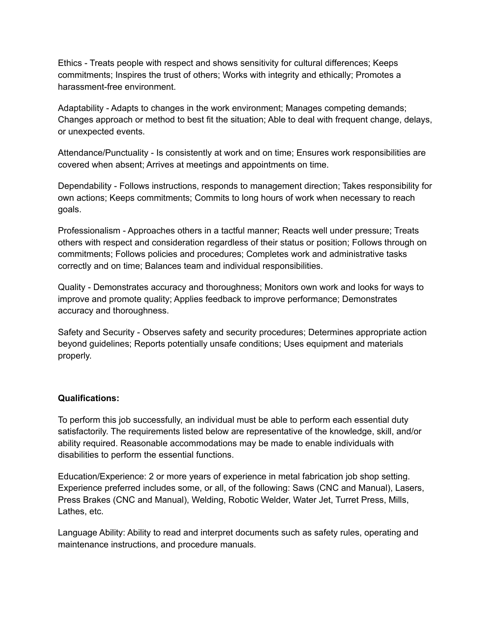Ethics - Treats people with respect and shows sensitivity for cultural differences; Keeps commitments; Inspires the trust of others; Works with integrity and ethically; Promotes a harassment-free environment.

Adaptability - Adapts to changes in the work environment; Manages competing demands; Changes approach or method to best fit the situation; Able to deal with frequent change, delays, or unexpected events.

Attendance/Punctuality - Is consistently at work and on time; Ensures work responsibilities are covered when absent; Arrives at meetings and appointments on time.

Dependability - Follows instructions, responds to management direction; Takes responsibility for own actions; Keeps commitments; Commits to long hours of work when necessary to reach goals.

Professionalism - Approaches others in a tactful manner; Reacts well under pressure; Treats others with respect and consideration regardless of their status or position; Follows through on commitments; Follows policies and procedures; Completes work and administrative tasks correctly and on time; Balances team and individual responsibilities.

Quality - Demonstrates accuracy and thoroughness; Monitors own work and looks for ways to improve and promote quality; Applies feedback to improve performance; Demonstrates accuracy and thoroughness.

Safety and Security - Observes safety and security procedures; Determines appropriate action beyond guidelines; Reports potentially unsafe conditions; Uses equipment and materials properly.

# **Qualifications:**

To perform this job successfully, an individual must be able to perform each essential duty satisfactorily. The requirements listed below are representative of the knowledge, skill, and/or ability required. Reasonable accommodations may be made to enable individuals with disabilities to perform the essential functions.

Education/Experience: 2 or more years of experience in metal fabrication job shop setting. Experience preferred includes some, or all, of the following: Saws (CNC and Manual), Lasers, Press Brakes (CNC and Manual), Welding, Robotic Welder, Water Jet, Turret Press, Mills, Lathes, etc.

Language Ability: Ability to read and interpret documents such as safety rules, operating and maintenance instructions, and procedure manuals.